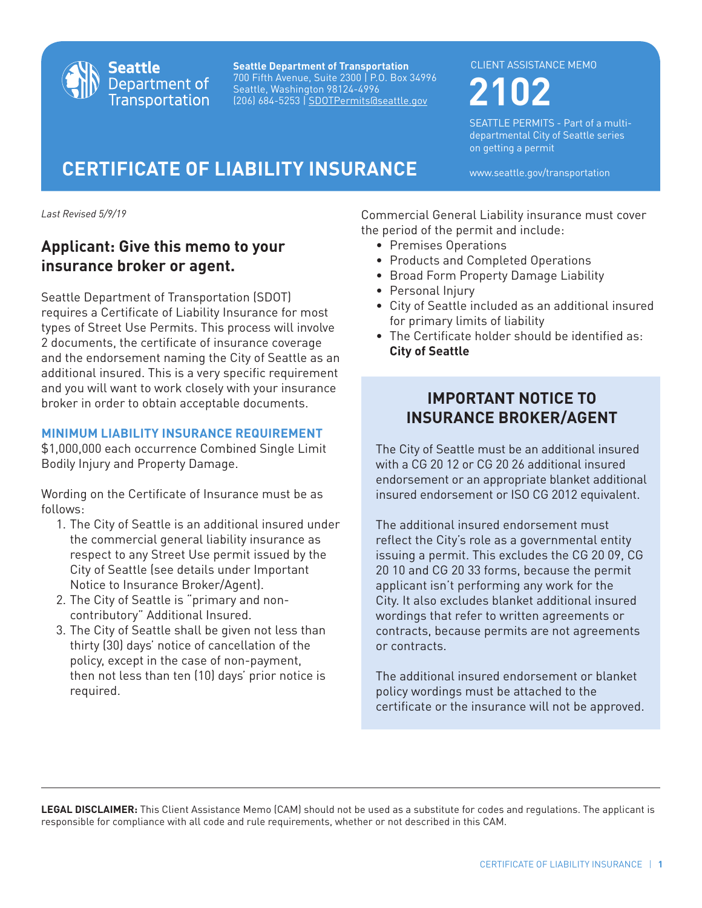

**Seattle Department of Transportation** 700 Fifth Avenue, Suite 2300 | P.O. Box 34996 Seattle, Washington 98124-4996 (206) 684-5253 | SDOTPermits@seattle.gov

#### CLIENT ASSISTANCE MEMO

**2102**

SEATTLE PERMITS - Part of a multidepartmental City of Seattle series on getting a permit

# **CERTIFICATE OF LIABILITY INSURANCE** www.seattle.gov/transportation

*Last Revised 5/9/19*

# **Applicant: Give this memo to your insurance broker or agent.**

Seattle Department of Transportation (SDOT) requires a Certificate of Liability Insurance for most types of Street Use Permits. This process will involve 2 documents, the certificate of insurance coverage and the endorsement naming the City of Seattle as an additional insured. This is a very specific requirement and you will want to work closely with your insurance broker in order to obtain acceptable documents.

## **MINIMUM LIABILITY INSURANCE REQUIREMENT**

\$1,000,000 each occurrence Combined Single Limit Bodily Injury and Property Damage.

Wording on the Certificate of Insurance must be as follows:

- 1. The City of Seattle is an additional insured under the commercial general liability insurance as respect to any Street Use permit issued by the City of Seattle (see details under Important Notice to Insurance Broker/Agent).
- 2. The City of Seattle is "primary and noncontributory" Additional Insured.
- 3. The City of Seattle shall be given not less than thirty (30) days' notice of cancellation of the policy, except in the case of non-payment, then not less than ten (10) days' prior notice is required.

Commercial General Liability insurance must cover the period of the permit and include:

- Premises Operations
- Products and Completed Operations
- Broad Form Property Damage Liability
- Personal Injury
- City of Seattle included as an additional insured for primary limits of liability
- The Certificate holder should be identified as: **City of Seattle**

# **IMPORTANT NOTICE TO INSURANCE BROKER/AGENT**

The City of Seattle must be an additional insured with a CG 20 12 or CG 20 26 additional insured endorsement or an appropriate blanket additional insured endorsement or ISO CG 2012 equivalent.

The additional insured endorsement must reflect the City's role as a governmental entity issuing a permit. This excludes the CG 20 09, CG 20 10 and CG 20 33 forms, because the permit applicant isn't performing any work for the City. It also excludes blanket additional insured wordings that refer to written agreements or contracts, because permits are not agreements or contracts.

The additional insured endorsement or blanket policy wordings must be attached to the certificate or the insurance will not be approved.

**LEGAL DISCLAIMER:** This Client Assistance Memo (CAM) should not be used as a substitute for codes and regulations. The applicant is responsible for compliance with all code and rule requirements, whether or not described in this CAM.